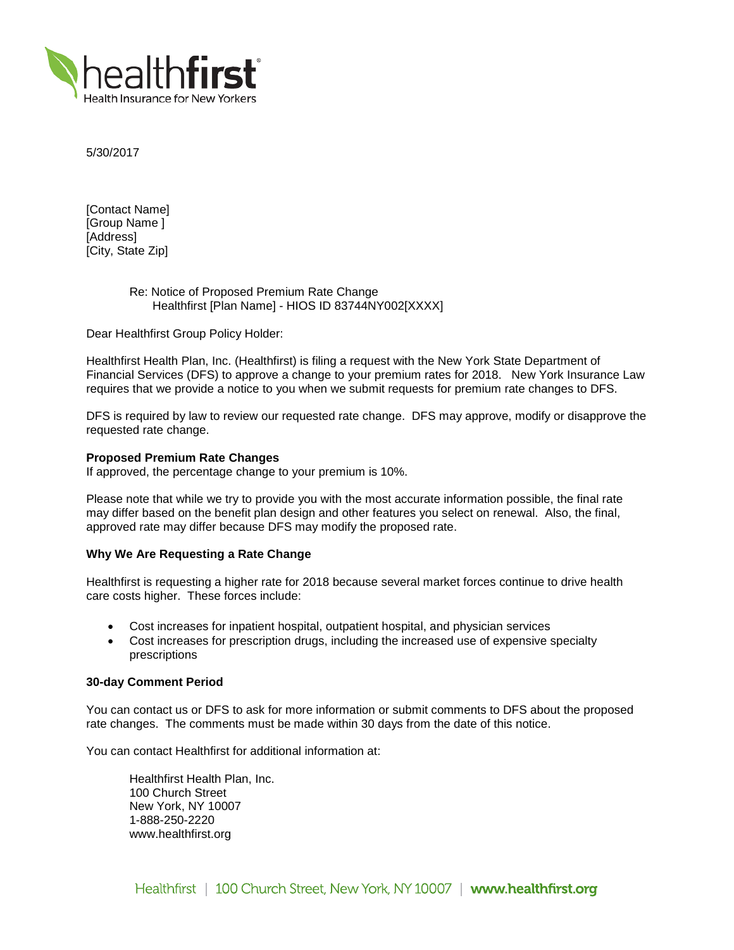

5/30/2017

[Contact Name] [Group Name ] [Address] [City, State Zip]

# Re: Notice of Proposed Premium Rate Change Healthfirst [Plan Name] - HIOS ID 83744NY002[XXXX]

Dear Healthfirst Group Policy Holder:

Healthfirst Health Plan, Inc. (Healthfirst) is filing a request with the New York State Department of Financial Services (DFS) to approve a change to your premium rates for 2018. New York Insurance Law requires that we provide a notice to you when we submit requests for premium rate changes to DFS.

DFS is required by law to review our requested rate change. DFS may approve, modify or disapprove the requested rate change.

## **Proposed Premium Rate Changes**

If approved, the percentage change to your premium is 10%.

Please note that while we try to provide you with the most accurate information possible, the final rate may differ based on the benefit plan design and other features you select on renewal. Also, the final, approved rate may differ because DFS may modify the proposed rate.

# **Why We Are Requesting a Rate Change**

Healthfirst is requesting a higher rate for 2018 because several market forces continue to drive health care costs higher. These forces include:

- Cost increases for inpatient hospital, outpatient hospital, and physician services
- Cost increases for prescription drugs, including the increased use of expensive specialty prescriptions

### **30-day Comment Period**

You can contact us or DFS to ask for more information or submit comments to DFS about the proposed rate changes. The comments must be made within 30 days from the date of this notice.

You can contact Healthfirst for additional information at:

Healthfirst Health Plan, Inc. 100 Church Street New York, NY 10007 1-888-250-2220 www.healthfirst.org